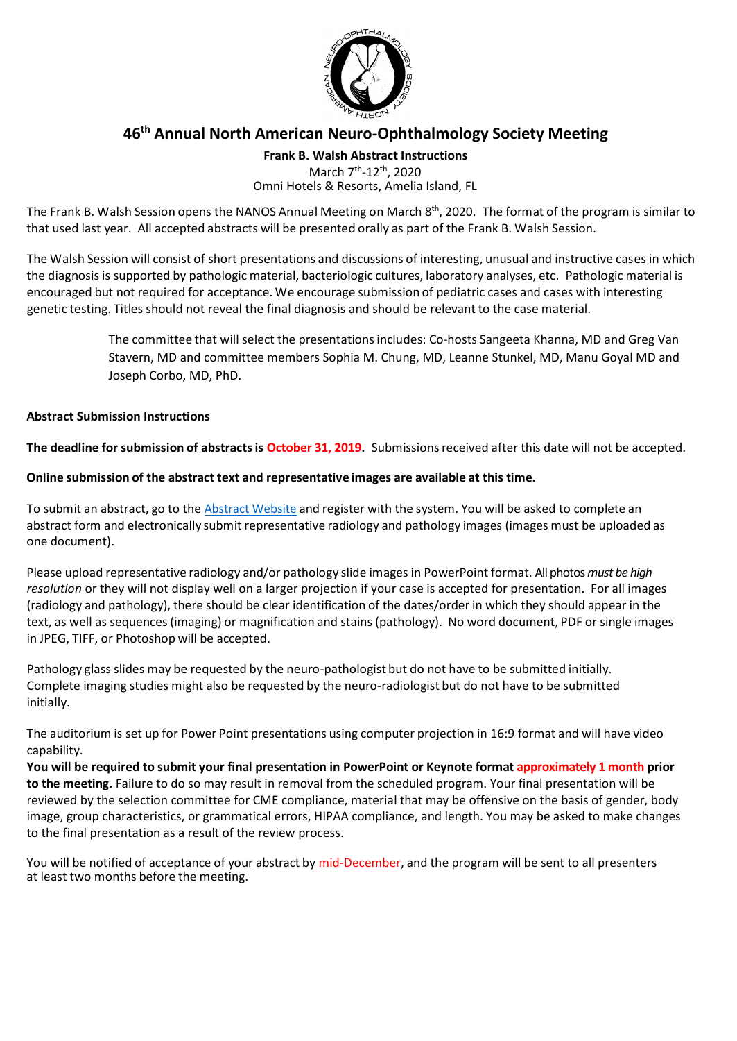

# **46th Annual North American Neuro-Ophthalmology Society Meeting**

**Frank B. Walsh Abstract Instructions**

March 7<sup>th</sup>-12<sup>th</sup>, 2020 Omni Hotels & Resorts, Amelia Island, FL

The Frank B. Walsh Session opens the NANOS Annual Meeting on March 8<sup>th</sup>, 2020. The format of the program is similar to that used last year. All accepted abstracts will be presented orally as part of the Frank B. Walsh Session.

The Walsh Session will consist of short presentations and discussions of interesting, unusual and instructive cases in which the diagnosis is supported by pathologic material, bacteriologic cultures, laboratory analyses, etc. Pathologic material is encouraged but not required for acceptance. We encourage submission of pediatric cases and cases with interesting genetic testing. Titles should not reveal the final diagnosis and should be relevant to the case material.

> The committee that will select the presentationsincludes: Co-hosts Sangeeta Khanna, MD and Greg Van Stavern, MD and committee members Sophia M. Chung, MD, Leanne Stunkel, MD, Manu Goyal MD and Joseph Corbo, MD, PhD.

## **Abstract Submission Instructions**

**The deadline for submission of abstractsis October 31, 2019.** Submissionsreceived after this date will not be accepted.

## **Online submission of the abstract text and representative images are available at this time.**

To submit an abstract, go to the [Abstract Website](https://precis2.preciscentral.com/Link.aspx?ID=20466569ED895A468D386D4C90454B8B) and register with the system. You will be asked to complete an abstract form and electronically submit representative radiology and pathology images (images must be uploaded as one document).

Please upload representative radiology and/or pathology slide images in PowerPoint format. All photos *must be high resolution* or they will not display well on a larger projection if your case is accepted for presentation. For all images (radiology and pathology), there should be clear identification of the dates/order in which they should appear in the text, as well as sequences(imaging) or magnification and stains (pathology). No word document, PDF or single images in JPEG, TIFF, or Photoshop will be accepted.

Pathology glass slides may be requested by the neuro-pathologist but do not have to be submitted initially. Complete imaging studies might also be requested by the neuro-radiologist but do not have to be submitted initially.

The auditorium is set up for Power Point presentations using computer projection in 16:9 format and will have video capability.

You will be required to submit your final presentation in PowerPoint or Keynote format approximately 1 month prior **to the meeting.** Failure to do so may result in removal from the scheduled program. Your final presentation will be reviewed by the selection committee for CME compliance, material that may be offensive on the basis of gender, body image, group characteristics, or grammatical errors, HIPAA compliance, and length. You may be asked to make changes to the final presentation as a result of the review process.

You will be notified of acceptance of your abstract by mid-December, and the program will be sent to all presenters at least two months before the meeting.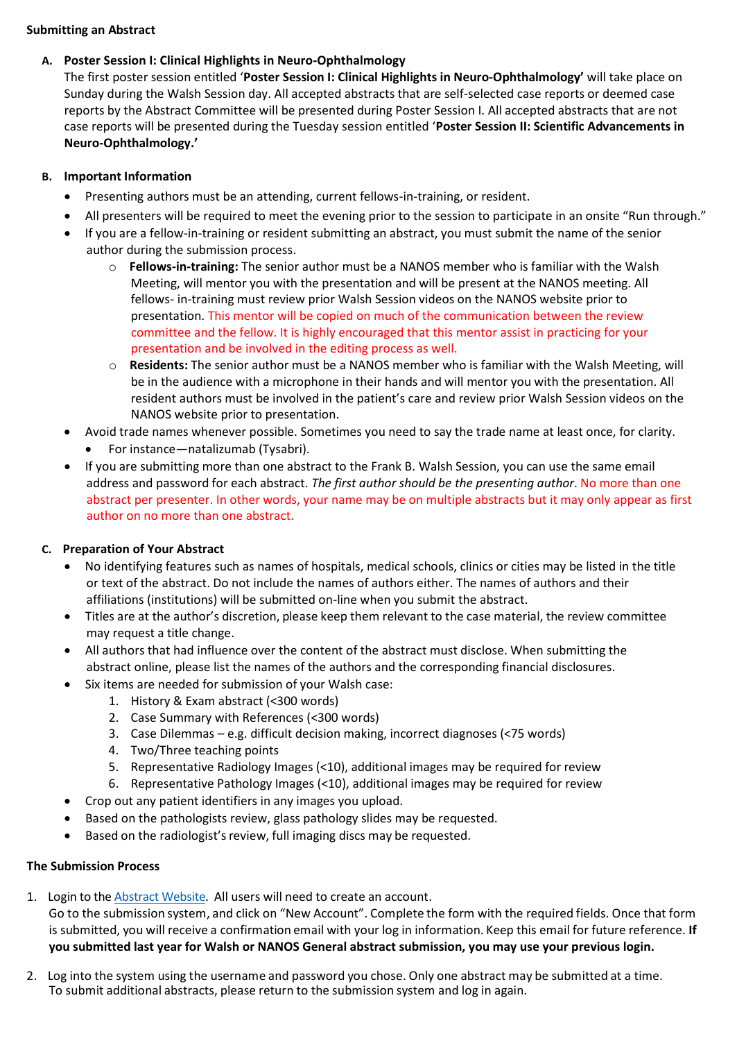### **Submitting an Abstract**

### **A. Poster Session I: Clinical Highlights in Neuro-Ophthalmology**

The first poster session entitled '**Poster Session I: Clinical Highlights in Neuro-Ophthalmology'** will take place on Sunday during the Walsh Session day. All accepted abstracts that are self-selected case reports or deemed case reports by the Abstract Committee will be presented during Poster Session I. All accepted abstracts that are not case reports will be presented during the Tuesday session entitled '**Poster Session II: Scientific Advancements in Neuro-Ophthalmology.'**

### **B. Important Information**

- Presenting authors must be an attending, current fellows-in-training, or resident.
- All presenters will be required to meet the evening prior to the session to participate in an onsite "Run through."
- If you are a fellow-in-training or resident submitting an abstract, you must submit the name of the senior author during the submission process.
	- o **Fellows-in-training:** The senior author must be a NANOS member who is familiar with the Walsh Meeting, will mentor you with the presentation and will be present at the NANOS meeting. All fellows- in-training must review prior Walsh Session videos on the NANOS website prior to presentation. This mentor will be copied on much of the communication between the review committee and the fellow. It is highly encouraged that this mentor assist in practicing for your presentation and be involved in the editing process as well.
	- o **Residents:** The senior author must be a NANOS member who is familiar with the Walsh Meeting, will be in the audience with a microphone in their hands and will mentor you with the presentation. All resident authors must be involved in the patient's care and review prior Walsh Session videos on the NANOS website prior to presentation.
- Avoid trade names whenever possible. Sometimes you need to say the trade name at least once, for clarity.
- For instance—natalizumab (Tysabri).
- If you are submitting more than one abstract to the Frank B. Walsh Session, you can use the same email address and password for each abstract. *The first author should be the presenting author*. No more than one abstract per presenter. In other words, your name may be on multiple abstracts but it may only appear as first author on no more than one abstract.

## **C. Preparation of Your Abstract**

- No identifying features such as names of hospitals, medical schools, clinics or cities may be listed in the title or text of the abstract. Do not include the names of authors either. The names of authors and their affiliations (institutions) will be submitted on-line when you submit the abstract.
- Titles are at the author's discretion, please keep them relevant to the case material, the review committee may request a title change.
- All authors that had influence over the content of the abstract must disclose. When submitting the abstract online, please list the names of the authors and the corresponding financial disclosures.
- Six items are needed for submission of your Walsh case:
	- 1. History & Exam abstract (<300 words)
	- 2. Case Summary with References (<300 words)
	- 3. Case Dilemmas e.g. difficult decision making, incorrect diagnoses (<75 words)
	- 4. Two/Three teaching points
	- 5. Representative Radiology Images (<10), additional images may be required for review
	- 6. Representative Pathology Images (<10), additional images may be required for review
- Crop out any patient identifiers in any images you upload.
- Based on the pathologists review, glass pathology slides may be requested.
- Based on the radiologist's review, full imaging discs may be requested.

#### **The Submission Process**

1. Login to th[e Abstract Website.](https://precis2.preciscentral.com/Link.aspx?ID=20466569ED895A468D386D4C90454B8B) All users will need to create an account.

Go to the submission system, and click on "New Account". Complete the form with the required fields. Once that form is submitted, you will receive a confirmation email with your log in information. Keep this email for future reference. **If you submitted last year for Walsh or NANOS General abstract submission, you may use your previous login.** 

2. Log into the system using the username and password you chose. Only one abstract may be submitted at a time. To submit additional abstracts, please return to the submission system and log in again.